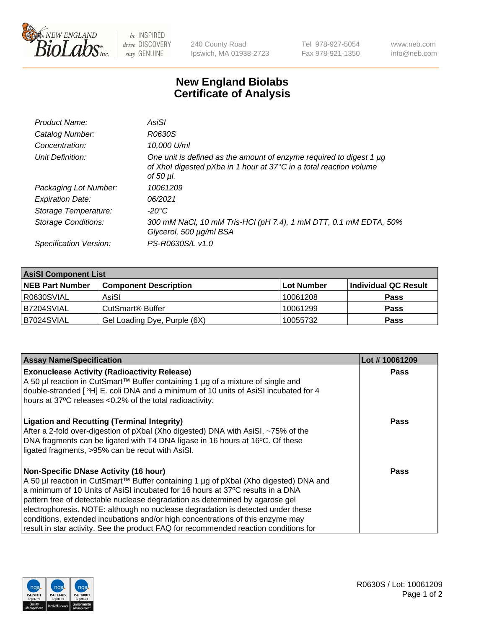

 $be$  INSPIRED drive DISCOVERY stay GENUINE

240 County Road Ipswich, MA 01938-2723 Tel 978-927-5054 Fax 978-921-1350 www.neb.com info@neb.com

## **New England Biolabs Certificate of Analysis**

| Product Name:           | AsiSI                                                                                                                                                  |
|-------------------------|--------------------------------------------------------------------------------------------------------------------------------------------------------|
| Catalog Number:         | R0630S                                                                                                                                                 |
| Concentration:          | 10,000 U/ml                                                                                                                                            |
| Unit Definition:        | One unit is defined as the amount of enzyme required to digest 1 µg<br>of Xhol digested pXba in 1 hour at 37°C in a total reaction volume<br>of 50 µl. |
| Packaging Lot Number:   | 10061209                                                                                                                                               |
| <b>Expiration Date:</b> | 06/2021                                                                                                                                                |
| Storage Temperature:    | $-20^{\circ}$ C                                                                                                                                        |
| Storage Conditions:     | 300 mM NaCl, 10 mM Tris-HCl (pH 7.4), 1 mM DTT, 0.1 mM EDTA, 50%<br>Glycerol, 500 µg/ml BSA                                                            |
| Specification Version:  | PS-R0630S/L v1.0                                                                                                                                       |

| <b>AsiSI Component List</b> |                              |             |                      |  |  |
|-----------------------------|------------------------------|-------------|----------------------|--|--|
| <b>NEB Part Number</b>      | <b>Component Description</b> | ∣Lot Number | Individual QC Result |  |  |
| I R0630SVIAL                | AsiSI                        | 10061208    | <b>Pass</b>          |  |  |
| B7204SVIAL                  | CutSmart <sup>®</sup> Buffer | 10061299    | <b>Pass</b>          |  |  |
| B7024SVIAL                  | Gel Loading Dye, Purple (6X) | 10055732    | <b>Pass</b>          |  |  |

| <b>Assay Name/Specification</b>                                                                                                                                                                                                                                              | Lot #10061209 |
|------------------------------------------------------------------------------------------------------------------------------------------------------------------------------------------------------------------------------------------------------------------------------|---------------|
| <b>Exonuclease Activity (Radioactivity Release)</b><br>A 50 µl reaction in CutSmart™ Buffer containing 1 µg of a mixture of single and                                                                                                                                       | <b>Pass</b>   |
| double-stranded [3H] E. coli DNA and a minimum of 10 units of AsiSI incubated for 4<br>hours at 37°C releases <0.2% of the total radioactivity.                                                                                                                              |               |
| <b>Ligation and Recutting (Terminal Integrity)</b><br>After a 2-fold over-digestion of pXbal (Xho digested) DNA with AsiSI, ~75% of the<br>DNA fragments can be ligated with T4 DNA ligase in 16 hours at 16°C. Of these<br>ligated fragments, >95% can be recut with AsiSI. | Pass          |
| <b>Non-Specific DNase Activity (16 hour)</b>                                                                                                                                                                                                                                 | Pass          |
| A 50 µl reaction in CutSmart™ Buffer containing 1 µg of pXbal (Xho digested) DNA and                                                                                                                                                                                         |               |
| a minimum of 10 Units of AsiSI incubated for 16 hours at 37°C results in a DNA                                                                                                                                                                                               |               |
| pattern free of detectable nuclease degradation as determined by agarose gel                                                                                                                                                                                                 |               |
| electrophoresis. NOTE: although no nuclease degradation is detected under these                                                                                                                                                                                              |               |
| conditions, extended incubations and/or high concentrations of this enzyme may                                                                                                                                                                                               |               |
| result in star activity. See the product FAQ for recommended reaction conditions for                                                                                                                                                                                         |               |